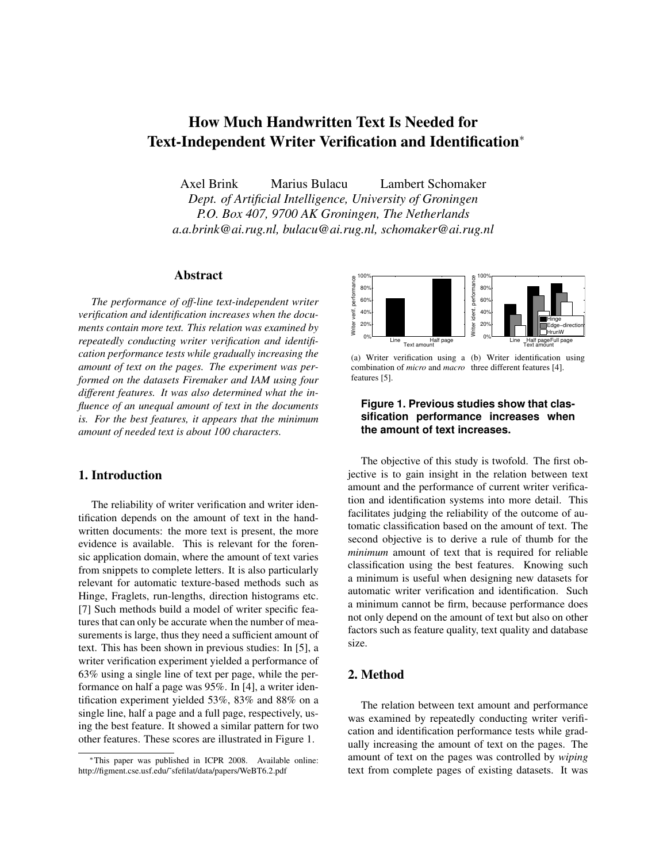# How Much Handwritten Text Is Needed for Text-Independent Writer Verification and Identification<sup>∗</sup>

Axel Brink Marius Bulacu Lambert Schomaker *Dept. of Artificial Intelligence, University of Groningen P.O. Box 407, 9700 AK Groningen, The Netherlands a.a.brink@ai.rug.nl, bulacu@ai.rug.nl, schomaker@ai.rug.nl*

#### Abstract

*The performance of off-line text-independent writer verification and identification increases when the documents contain more text. This relation was examined by repeatedly conducting writer verification and identification performance tests while gradually increasing the amount of text on the pages. The experiment was performed on the datasets Firemaker and IAM using four different features. It was also determined what the influence of an unequal amount of text in the documents is. For the best features, it appears that the minimum amount of needed text is about 100 characters.*

# 1. Introduction

The reliability of writer verification and writer identification depends on the amount of text in the handwritten documents: the more text is present, the more evidence is available. This is relevant for the forensic application domain, where the amount of text varies from snippets to complete letters. It is also particularly relevant for automatic texture-based methods such as Hinge, Fraglets, run-lengths, direction histograms etc. [7] Such methods build a model of writer specific features that can only be accurate when the number of measurements is large, thus they need a sufficient amount of text. This has been shown in previous studies: In [5], a writer verification experiment yielded a performance of 63% using a single line of text per page, while the performance on half a page was 95%. In [4], a writer identification experiment yielded 53%, 83% and 88% on a single line, half a page and a full page, respectively, using the best feature. It showed a similar pattern for two other features. These scores are illustrated in Figure 1.



(a) Writer verification using a (b) Writer identification using combination of *micro* and *macro* three different features [4]. features [5].

## **Figure 1. Previous studies show that classification performance increases when the amount of text increases.**

The objective of this study is twofold. The first objective is to gain insight in the relation between text amount and the performance of current writer verification and identification systems into more detail. This facilitates judging the reliability of the outcome of automatic classification based on the amount of text. The second objective is to derive a rule of thumb for the *minimum* amount of text that is required for reliable classification using the best features. Knowing such a minimum is useful when designing new datasets for automatic writer verification and identification. Such a minimum cannot be firm, because performance does not only depend on the amount of text but also on other factors such as feature quality, text quality and database size.

# 2. Method

The relation between text amount and performance was examined by repeatedly conducting writer verification and identification performance tests while gradually increasing the amount of text on the pages. The amount of text on the pages was controlled by *wiping* text from complete pages of existing datasets. It was

<sup>∗</sup>This paper was published in ICPR 2008. Available online: http://figment.cse.usf.edu/˜sfefilat/data/papers/WeBT6.2.pdf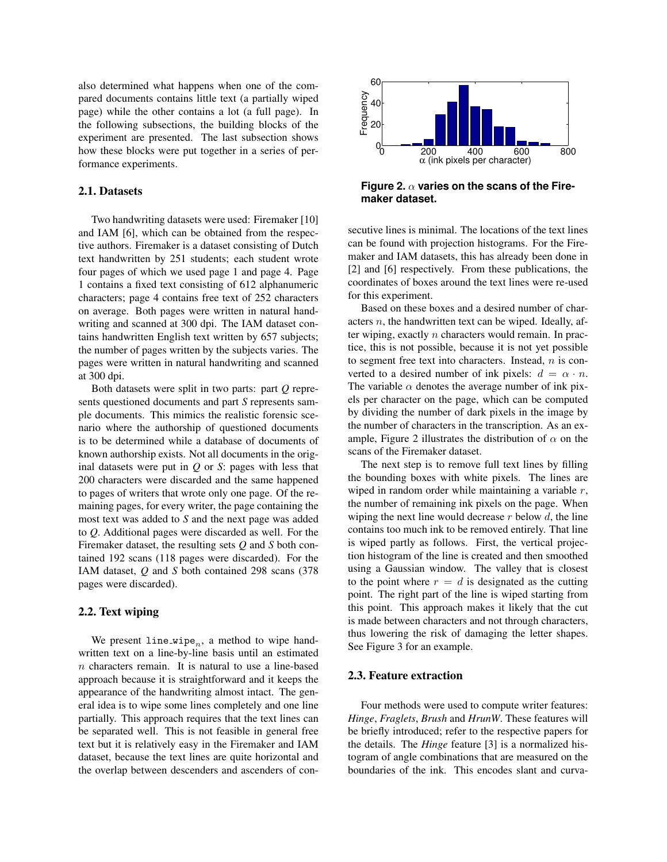also determined what happens when one of the compared documents contains little text (a partially wiped page) while the other contains a lot (a full page). In the following subsections, the building blocks of the experiment are presented. The last subsection shows how these blocks were put together in a series of performance experiments.

## 2.1. Datasets

Two handwriting datasets were used: Firemaker [10] and IAM [6], which can be obtained from the respective authors. Firemaker is a dataset consisting of Dutch text handwritten by 251 students; each student wrote four pages of which we used page 1 and page 4. Page 1 contains a fixed text consisting of 612 alphanumeric characters; page 4 contains free text of 252 characters on average. Both pages were written in natural handwriting and scanned at 300 dpi. The IAM dataset contains handwritten English text written by 657 subjects; the number of pages written by the subjects varies. The pages were written in natural handwriting and scanned at 300 dpi.

Both datasets were split in two parts: part *Q* represents questioned documents and part *S* represents sample documents. This mimics the realistic forensic scenario where the authorship of questioned documents is to be determined while a database of documents of known authorship exists. Not all documents in the original datasets were put in *Q* or *S*: pages with less that 200 characters were discarded and the same happened to pages of writers that wrote only one page. Of the remaining pages, for every writer, the page containing the most text was added to *S* and the next page was added to *Q*. Additional pages were discarded as well. For the Firemaker dataset, the resulting sets *Q* and *S* both contained 192 scans (118 pages were discarded). For the IAM dataset, *Q* and *S* both contained 298 scans (378 pages were discarded).

#### 2.2. Text wiping

We present  $line_{\mu}$ , a method to wipe handwritten text on a line-by-line basis until an estimated  $n$  characters remain. It is natural to use a line-based approach because it is straightforward and it keeps the appearance of the handwriting almost intact. The general idea is to wipe some lines completely and one line partially. This approach requires that the text lines can be separated well. This is not feasible in general free text but it is relatively easy in the Firemaker and IAM dataset, because the text lines are quite horizontal and the overlap between descenders and ascenders of con-



**Figure 2.** α **varies on the scans of the Firemaker dataset.**

secutive lines is minimal. The locations of the text lines can be found with projection histograms. For the Firemaker and IAM datasets, this has already been done in [2] and [6] respectively. From these publications, the coordinates of boxes around the text lines were re-used for this experiment.

Based on these boxes and a desired number of characters  $n$ , the handwritten text can be wiped. Ideally, after wiping, exactly  $n$  characters would remain. In practice, this is not possible, because it is not yet possible to segment free text into characters. Instead,  $n$  is converted to a desired number of ink pixels:  $d = \alpha \cdot n$ . The variable  $\alpha$  denotes the average number of ink pixels per character on the page, which can be computed by dividing the number of dark pixels in the image by the number of characters in the transcription. As an example, Figure 2 illustrates the distribution of  $\alpha$  on the scans of the Firemaker dataset.

The next step is to remove full text lines by filling the bounding boxes with white pixels. The lines are wiped in random order while maintaining a variable r, the number of remaining ink pixels on the page. When wiping the next line would decrease  $r$  below  $d$ , the line contains too much ink to be removed entirely. That line is wiped partly as follows. First, the vertical projection histogram of the line is created and then smoothed using a Gaussian window. The valley that is closest to the point where  $r = d$  is designated as the cutting point. The right part of the line is wiped starting from this point. This approach makes it likely that the cut is made between characters and not through characters, thus lowering the risk of damaging the letter shapes. See Figure 3 for an example.

#### 2.3. Feature extraction

Four methods were used to compute writer features: *Hinge*, *Fraglets*, *Brush* and *HrunW*. These features will be briefly introduced; refer to the respective papers for the details. The *Hinge* feature [3] is a normalized histogram of angle combinations that are measured on the boundaries of the ink. This encodes slant and curva-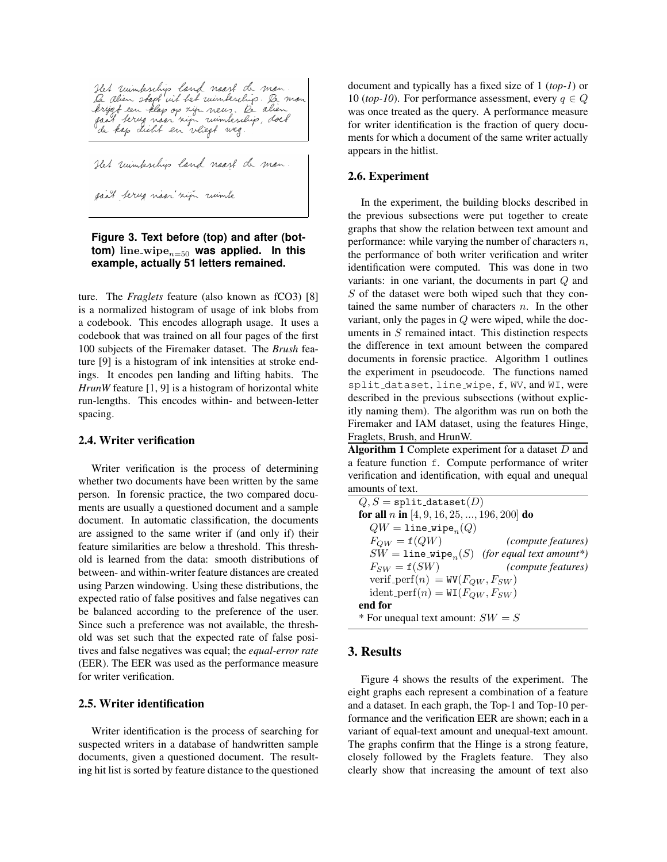Het ruimberchip land naart de man.<br>A alien stept uit het ruimberchip. De man frijgt een klap op zijn neus. De alien<br>gaat terug naar zijn ruimteschip, doct

Het unimberchip land naart de man

good ferry noon rip ruimle

# **Figure 3. Text before (top) and after (bot** $tom)$  line\_wipe<sub>n=50</sub> was applied. In this **example, actually 51 letters remained.**

ture. The *Fraglets* feature (also known as fCO3) [8] is a normalized histogram of usage of ink blobs from a codebook. This encodes allograph usage. It uses a codebook that was trained on all four pages of the first 100 subjects of the Firemaker dataset. The *Brush* feature [9] is a histogram of ink intensities at stroke endings. It encodes pen landing and lifting habits. The *HrunW* feature [1, 9] is a histogram of horizontal white run-lengths. This encodes within- and between-letter spacing.

#### 2.4. Writer verification

Writer verification is the process of determining whether two documents have been written by the same person. In forensic practice, the two compared documents are usually a questioned document and a sample document. In automatic classification, the documents are assigned to the same writer if (and only if) their feature similarities are below a threshold. This threshold is learned from the data: smooth distributions of between- and within-writer feature distances are created using Parzen windowing. Using these distributions, the expected ratio of false positives and false negatives can be balanced according to the preference of the user. Since such a preference was not available, the threshold was set such that the expected rate of false positives and false negatives was equal; the *equal-error rate* (EER). The EER was used as the performance measure for writer verification.

#### 2.5. Writer identification

Writer identification is the process of searching for suspected writers in a database of handwritten sample documents, given a questioned document. The resulting hit list is sorted by feature distance to the questioned

document and typically has a fixed size of 1 (*top-1*) or 10 (*top-10*). For performance assessment, every  $q \in Q$ was once treated as the query. A performance measure for writer identification is the fraction of query documents for which a document of the same writer actually appears in the hitlist.

### 2.6. Experiment

In the experiment, the building blocks described in the previous subsections were put together to create graphs that show the relation between text amount and performance: while varying the number of characters  $n$ , the performance of both writer verification and writer identification were computed. This was done in two variants: in one variant, the documents in part Q and  $S$  of the dataset were both wiped such that they contained the same number of characters  $n$ . In the other variant, only the pages in Q were wiped, while the documents in S remained intact. This distinction respects the difference in text amount between the compared documents in forensic practice. Algorithm 1 outlines the experiment in pseudocode. The functions named split dataset, line wipe, f, WV, and WI, were described in the previous subsections (without explicitly naming them). The algorithm was run on both the Firemaker and IAM dataset, using the features Hinge, Fraglets, Brush, and HrunW.

Algorithm 1 Complete experiment for a dataset  $D$  and a feature function f. Compute performance of writer verification and identification, with equal and unequal amounts of text.

 $Q, S = \text{split\_dataset}(D)$ for all n in [4, 9, 16, 25, ..., 196, 200] do  $QW = \mathtt{line\_wipe}_n(Q)$  $F_{OW} = f(QW)$  *(compute features)*  $SW = \mathtt{line\_wipe}_n(S)$  *(for equal text amount\*)*  $F_{SW} = f(SW)$  *(compute features)* verif  $\text{perf}(n) = \text{WV}(F_{QW}, F_{SW})$ ident perf $(n) = \text{WI}(F_{QW}, F_{SW})$ end for \* For unequal text amount:  $SW = S$ 

## 3. Results

Figure 4 shows the results of the experiment. The eight graphs each represent a combination of a feature and a dataset. In each graph, the Top-1 and Top-10 performance and the verification EER are shown; each in a variant of equal-text amount and unequal-text amount. The graphs confirm that the Hinge is a strong feature, closely followed by the Fraglets feature. They also clearly show that increasing the amount of text also